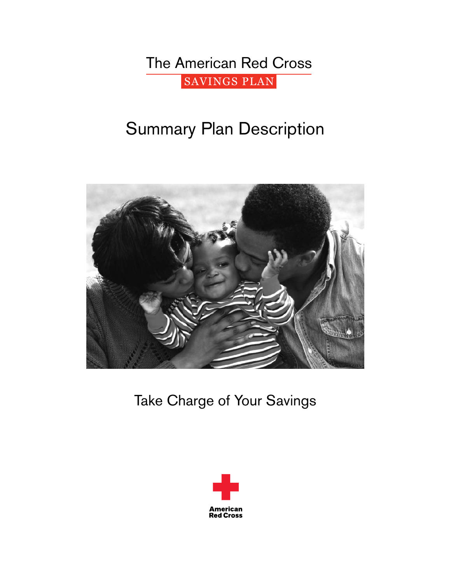The American Red Cross SAVINGS PLAN

# Summary Plan Description



Take Charge of Your Savings

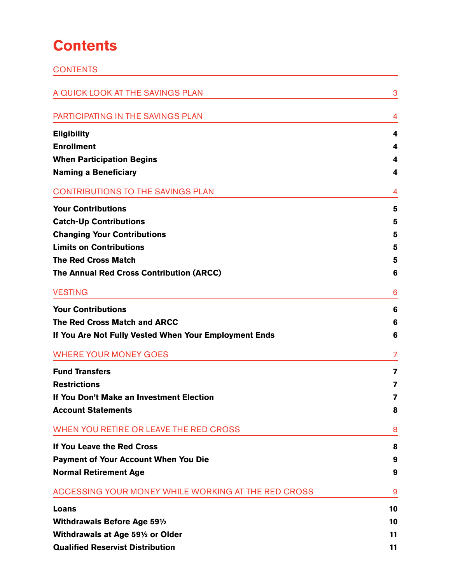# **Contents**

| <b>CONTENTS</b>                                       |    |
|-------------------------------------------------------|----|
| A QUICK LOOK AT THE SAVINGS PLAN                      | 3  |
| PARTICIPATING IN THE SAVINGS PLAN                     | 4  |
| <b>Eligibility</b>                                    | 4  |
| <b>Enrollment</b>                                     | 4  |
| <b>When Participation Begins</b>                      | 4  |
| <b>Naming a Beneficiary</b>                           | 4  |
| <b>CONTRIBUTIONS TO THE SAVINGS PLAN</b>              | 4  |
| <b>Your Contributions</b>                             | 5  |
| <b>Catch-Up Contributions</b>                         | 5  |
| <b>Changing Your Contributions</b>                    | 5  |
| <b>Limits on Contributions</b>                        | 5  |
| <b>The Red Cross Match</b>                            | 5  |
| The Annual Red Cross Contribution (ARCC)              | 6  |
| <b>VESTING</b>                                        | 6  |
| <b>Your Contributions</b>                             | 6  |
| <b>The Red Cross Match and ARCC</b>                   | 6  |
| If You Are Not Fully Vested When Your Employment Ends | 6  |
| <b>WHERE YOUR MONEY GOES</b>                          | 7  |
| <b>Fund Transfers</b>                                 | 7  |
| <b>Restrictions</b>                                   | 7  |
| If You Don't Make an Investment Election              | 7  |
| <b>Account Statements</b>                             | 8  |
| WHEN YOU RETIRE OR LEAVE THE RED CROSS                | 8  |
| If You Leave the Red Cross                            | 8  |
| <b>Payment of Your Account When You Die</b>           | 9  |
| <b>Normal Retirement Age</b>                          | 9  |
| ACCESSING YOUR MONEY WHILE WORKING AT THE RED CROSS   | 9  |
| Loans                                                 | 10 |
| <b>Withdrawals Before Age 591/2</b>                   | 10 |
| Withdrawals at Age 591/2 or Older                     | 11 |
| <b>Qualified Reservist Distribution</b>               | 11 |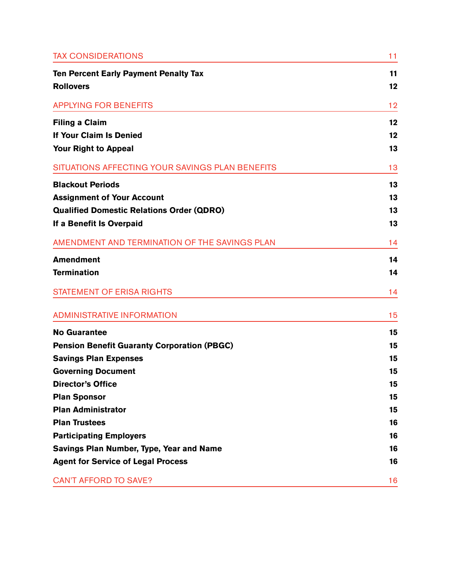| <b>TAX CONSIDERATIONS</b>                          | 11 |
|----------------------------------------------------|----|
| <b>Ten Percent Early Payment Penalty Tax</b>       | 11 |
| <b>Rollovers</b>                                   | 12 |
| <b>APPLYING FOR BENEFITS</b>                       | 12 |
| <b>Filing a Claim</b>                              | 12 |
| If Your Claim Is Denied                            | 12 |
| Your Right to Appeal                               | 13 |
| SITUATIONS AFFECTING YOUR SAVINGS PLAN BENEFITS    | 13 |
| <b>Blackout Periods</b>                            | 13 |
| <b>Assignment of Your Account</b>                  | 13 |
| <b>Qualified Domestic Relations Order (QDRO)</b>   | 13 |
| If a Benefit Is Overpaid                           | 13 |
| AMENDMENT AND TERMINATION OF THE SAVINGS PLAN      | 14 |
| <b>Amendment</b>                                   | 14 |
| <b>Termination</b>                                 | 14 |
| <b>STATEMENT OF ERISA RIGHTS</b>                   | 14 |
| <b>ADMINISTRATIVE INFORMATION</b>                  | 15 |
| <b>No Guarantee</b>                                | 15 |
| <b>Pension Benefit Guaranty Corporation (PBGC)</b> | 15 |
| <b>Savings Plan Expenses</b>                       | 15 |
| <b>Governing Document</b>                          | 15 |
| <b>Director's Office</b>                           | 15 |
| <b>Plan Sponsor</b>                                | 15 |
| <b>Plan Administrator</b>                          | 15 |
| <b>Plan Trustees</b>                               | 16 |
| <b>Participating Employers</b>                     | 16 |
| Savings Plan Number, Type, Year and Name           | 16 |
| <b>Agent for Service of Legal Process</b>          | 16 |
| <b>CAN'T AFFORD TO SAVE?</b>                       | 16 |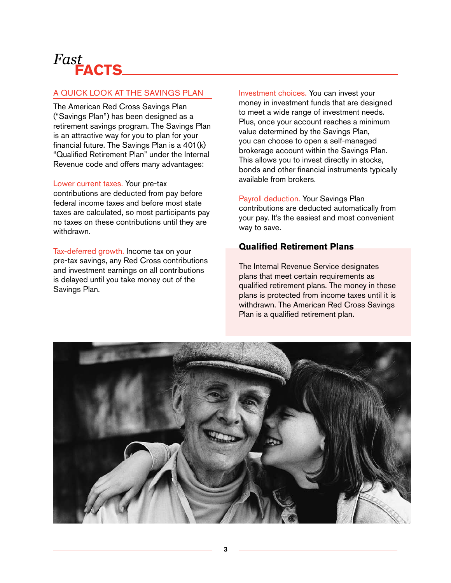# *Fast* **Facts**

# A Quick Look at the Savings Plan

The American Red Cross Savings Plan ("Savings Plan") has been designed as a retirement savings program. The Savings Plan is an attractive way for you to plan for your financial future. The Savings Plan is a 401(k) "Qualified Retirement Plan" under the Internal Revenue code and offers many advantages:

Lower current taxes. Your pre-tax contributions are deducted from pay before federal income taxes and before most state taxes are calculated, so most participants pay no taxes on these contributions until they are withdrawn.

Tax-deferred growth. Income tax on your pre-tax savings, any Red Cross contributions and investment earnings on all contributions is delayed until you take money out of the Savings Plan.

Investment choices. You can invest your money in investment funds that are designed to meet a wide range of investment needs. Plus, once your account reaches a minimum value determined by the Savings Plan, you can choose to open a self-managed brokerage account within the Savings Plan. This allows you to invest directly in stocks, bonds and other financial instruments typically available from brokers.

Payroll deduction. Your Savings Plan contributions are deducted automatically from your pay. It's the easiest and most convenient way to save.

# **Qualified Retirement Plans**

The Internal Revenue Service designates plans that meet certain requirements as qualified retirement plans. The money in these plans is protected from income taxes until it is withdrawn. The American Red Cross Savings Plan is a qualified retirement plan.

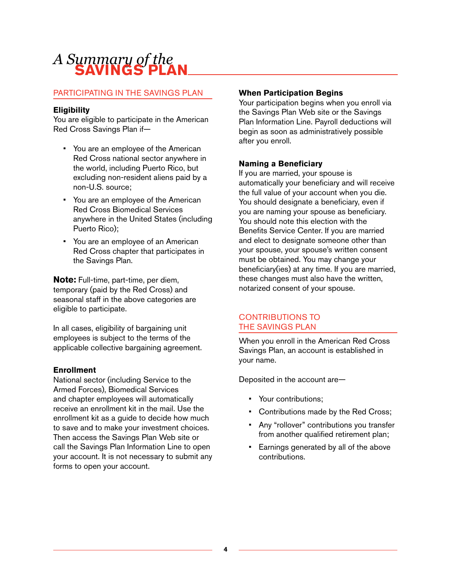# *A Summary of the* **Savings Plan**

# Participating In the Savings Plan

# **Eligibility**

You are eligible to participate in the American Red Cross Savings Plan if—

- You are an employee of the American Red Cross national sector anywhere in the world, including Puerto Rico, but excluding non-resident aliens paid by a non-U.S. source;
- You are an employee of the American Red Cross Biomedical Services anywhere in the United States (including Puerto Rico);
- You are an employee of an American Red Cross chapter that participates in the Savings Plan.

**Note:** Full-time, part-time, per diem, temporary (paid by the Red Cross) and seasonal staff in the above categories are eligible to participate.

In all cases, eligibility of bargaining unit employees is subject to the terms of the applicable collective bargaining agreement.

# **Enrollment**

National sector (including Service to the Armed Forces), Biomedical Services and chapter employees will automatically receive an enrollment kit in the mail. Use the enrollment kit as a guide to decide how much to save and to make your investment choices. Then access the Savings Plan Web site or call the Savings Plan Information Line to open your account. It is not necessary to submit any forms to open your account.

# **When Participation Begins**

Your participation begins when you enroll via the Savings Plan Web site or the Savings Plan Information Line. Payroll deductions will begin as soon as administratively possible after you enroll.

# **Naming a Beneficiary**

If you are married, your spouse is automatically your beneficiary and will receive the full value of your account when you die. You should designate a beneficiary, even if you are naming your spouse as beneficiary. You should note this election with the Benefits Service Center. If you are married and elect to designate someone other than your spouse, your spouse's written consent must be obtained. You may change your beneficiary(ies) at any time. If you are married, these changes must also have the written, notarized consent of your spouse.

# Contributions to the Savings plan

When you enroll in the American Red Cross Savings Plan, an account is established in your name.

Deposited in the account are—

- Your contributions;
- Contributions made by the Red Cross;
- Any "rollover" contributions you transfer from another qualified retirement plan;
- Earnings generated by all of the above contributions.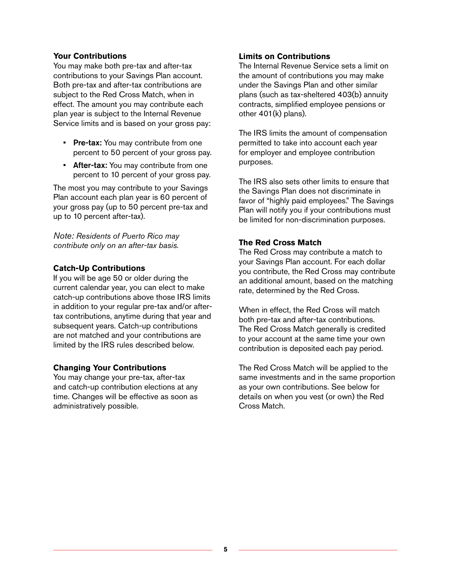# **Your Contributions**

You may make both pre-tax and after-tax contributions to your Savings Plan account. Both pre-tax and after-tax contributions are subject to the Red Cross Match, when in effect. The amount you may contribute each plan year is subject to the Internal Revenue Service limits and is based on your gross pay:

- Pre-tax: You may contribute from one percent to 50 percent of your gross pay.
- After-tax: You may contribute from one percent to 10 percent of your gross pay.

The most you may contribute to your Savings Plan account each plan year is 60 percent of your gross pay (up to 50 percent pre-tax and up to 10 percent after-tax).

*Note: Residents of Puerto Rico may contribute only on an after-tax basis.* 

# **Catch-Up Contributions**

If you will be age 50 or older during the current calendar year, you can elect to make catch-up contributions above those IRS limits in addition to your regular pre-tax and/or aftertax contributions, anytime during that year and subsequent years. Catch-up contributions are not matched and your contributions are limited by the IRS rules described below.

# **Changing Your Contributions**

You may change your pre-tax, after-tax and catch-up contribution elections at any time. Changes will be effective as soon as administratively possible.

# **Limits on Contributions**

The Internal Revenue Service sets a limit on the amount of contributions you may make under the Savings Plan and other similar plans (such as tax-sheltered 403(b) annuity contracts, simplified employee pensions or other 401(k) plans).

The IRS limits the amount of compensation permitted to take into account each year for employer and employee contribution purposes.

The IRS also sets other limits to ensure that the Savings Plan does not discriminate in favor of "highly paid employees." The Savings Plan will notify you if your contributions must be limited for non-discrimination purposes.

# **The Red Cross Match**

The Red Cross may contribute a match to your Savings Plan account. For each dollar you contribute, the Red Cross may contribute an additional amount, based on the matching rate, determined by the Red Cross.

When in effect, the Red Cross will match both pre-tax and after-tax contributions. The Red Cross Match generally is credited to your account at the same time your own contribution is deposited each pay period.

The Red Cross Match will be applied to the same investments and in the same proportion as your own contributions. See below for details on when you vest (or own) the Red Cross Match.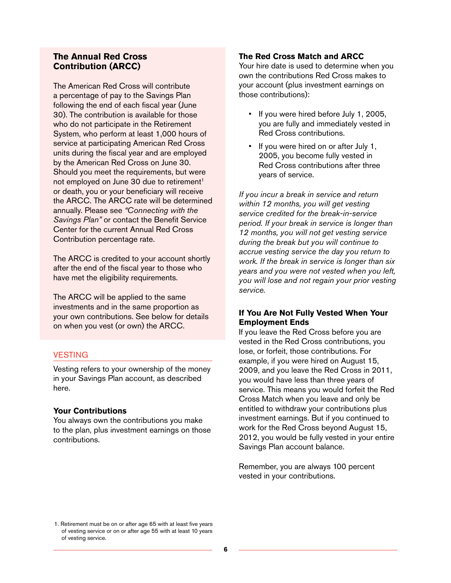# **The Annual Red Cross Contribution (ARCC)**

The American Red Cross will contribute a percentage of pay to the Savings Plan following the end of each fiscal year (June 30). The contribution is available for those who do not participate in the Retirement System, who perform at least 1,000 hours of service at participating American Red Cross units during the fiscal year and are employed by the American Red Cross on June 30. Should you meet the requirements, but were not employed on June 30 due to retirement<sup>1</sup> or death, you or your beneficiary will receive the ARCC. The ARCC rate will be determined annually. Please see *"Connecting with the Savings Plan"* or contact the Benefit Service Center for the current Annual Red Cross Contribution percentage rate.

The ARCC is credited to your account shortly after the end of the fiscal year to those who have met the eligibility requirements.

The ARCC will be applied to the same investments and in the same proportion as your own contributions. See below for details on when you vest (or own) the ARCC.

# **VESTING**

Vesting refers to your ownership of the money in your Savings Plan account, as described here.

#### **Your Contributions**

You always own the contributions you make to the plan, plus investment earnings on those contributions.

# **The Red Cross Match and ARCC**

Your hire date is used to determine when you own the contributions Red Cross makes to your account (plus investment earnings on those contributions):

- If you were hired before July 1, 2005, you are fully and immediately vested in Red Cross contributions.
- If you were hired on or after July 1, 2005, you become fully vested in Red Cross contributions after three years of service.

*If you incur a break in service and return within 12 months, you will get vesting service credited for the break-in-service period. If your break in service is longer than 12 months, you will not get vesting service during the break but you will continue to accrue vesting service the day you return to work. If the break in service is longer than six years and you were not vested when you left, you will lose and not regain your prior vesting service.*

# **If You Are Not Fully Vested When Your Employment Ends**

If you leave the Red Cross before you are vested in the Red Cross contributions, you lose, or forfeit, those contributions. For example, if you were hired on August 15, 2009, and you leave the Red Cross in 2011, you would have less than three years of service. This means you would forfeit the Red Cross Match when you leave and only be entitled to withdraw your contributions plus investment earnings. But if you continued to work for the Red Cross beyond August 15, 2012, you would be fully vested in your entire Savings Plan account balance.

Remember, you are always 100 percent vested in your contributions.

<sup>1.</sup> Retirement must be on or after age 65 with at least five years of vesting service or on or after age 55 with at least 10 years of vesting service.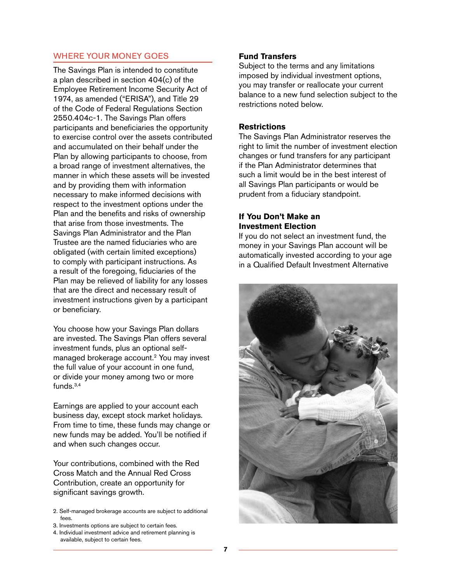# Where Your Money Goes

The Savings Plan is intended to constitute a plan described in section 404(c) of the Employee Retirement Income Security Act of 1974, as amended ("ERISA"), and Title 29 of the Code of Federal Regulations Section 2550.404c-1. The Savings Plan offers participants and beneficiaries the opportunity to exercise control over the assets contributed and accumulated on their behalf under the Plan by allowing participants to choose, from a broad range of investment alternatives, the manner in which these assets will be invested and by providing them with information necessary to make informed decisions with respect to the investment options under the Plan and the benefits and risks of ownership that arise from those investments. The Savings Plan Administrator and the Plan Trustee are the named fiduciaries who are obligated (with certain limited exceptions) to comply with participant instructions. As a result of the foregoing, fiduciaries of the Plan may be relieved of liability for any losses that are the direct and necessary result of investment instructions given by a participant or beneficiary.

You choose how your Savings Plan dollars are invested. The Savings Plan offers several investment funds, plus an optional selfmanaged brokerage account.2 You may invest the full value of your account in one fund, or divide your money among two or more funds.3,4

Earnings are applied to your account each business day, except stock market holidays. From time to time, these funds may change or new funds may be added. You'll be notified if and when such changes occur.

Your contributions, combined with the Red Cross Match and the Annual Red Cross Contribution, create an opportunity for significant savings growth.

- 2. Self-managed brokerage accounts are subject to additional fees.
- 3. Investments options are subject to certain fees.
- 4. Individual investment advice and retirement planning is available, subject to certain fees.

# **Fund Transfers**

Subject to the terms and any limitations imposed by individual investment options, you may transfer or reallocate your current balance to a new fund selection subject to the restrictions noted below.

# **Restrictions**

The Savings Plan Administrator reserves the right to limit the number of investment election changes or fund transfers for any participant if the Plan Administrator determines that such a limit would be in the best interest of all Savings Plan participants or would be prudent from a fiduciary standpoint.

# **If You Don't Make an Investment Election**

If you do not select an investment fund, the money in your Savings Plan account will be automatically invested according to your age in a Qualified Default Investment Alternative

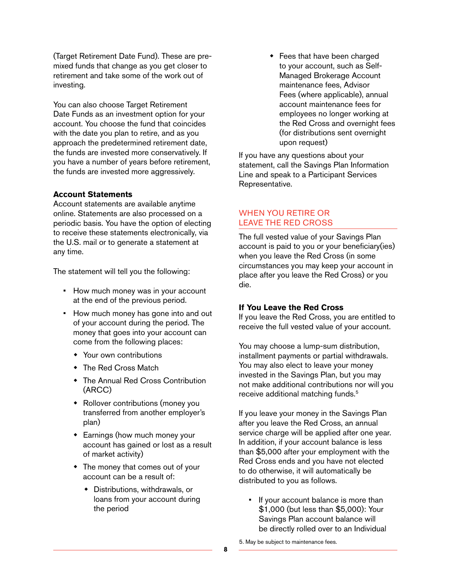(Target Retirement Date Fund). These are premixed funds that change as you get closer to retirement and take some of the work out of investing.

You can also choose Target Retirement Date Funds as an investment option for your account. You choose the fund that coincides with the date you plan to retire, and as you approach the predetermined retirement date, the funds are invested more conservatively. If you have a number of years before retirement, the funds are invested more aggressively.

#### **Account Statements**

Account statements are available anytime online. Statements are also processed on a periodic basis. You have the option of electing to receive these statements electronically, via the U.S. mail or to generate a statement at any time.

The statement will tell you the following:

- How much money was in your account at the end of the previous period.
- How much money has gone into and out of your account during the period. The money that goes into your account can come from the following places:
	- Your own contributions
	- ◆ The Red Cross Match
	- The Annual Red Cross Contribution (ARCC)
	- Rollover contributions (money you transferred from another employer's plan)
	- Earnings (how much money your account has gained or lost as a result of market activity)
	- The money that comes out of your account can be a result of:
		- Distributions, withdrawals, or loans from your account during the period

 Fees that have been charged to your account, such as Self-Managed Brokerage Account maintenance fees, Advisor Fees (where applicable), annual account maintenance fees for employees no longer working at the Red Cross and overnight fees (for distributions sent overnight upon request)

If you have any questions about your statement, call the Savings Plan Information Line and speak to a Participant Services Representative.

#### When You Retire or Leave the Red Cross

The full vested value of your Savings Plan account is paid to you or your beneficiary(ies) when you leave the Red Cross (in some circumstances you may keep your account in place after you leave the Red Cross) or you die.

#### **If You Leave the Red Cross**

If you leave the Red Cross, you are entitled to receive the full vested value of your account.

You may choose a lump-sum distribution, installment payments or partial withdrawals. You may also elect to leave your money invested in the Savings Plan, but you may not make additional contributions nor will you receive additional matching funds.<sup>5</sup>

If you leave your money in the Savings Plan after you leave the Red Cross, an annual service charge will be applied after one year. In addition, if your account balance is less than \$5,000 after your employment with the Red Cross ends and you have not elected to do otherwise, it will automatically be distributed to you as follows.

• If your account balance is more than \$1,000 (but less than \$5,000): Your Savings Plan account balance will be directly rolled over to an Individual

5. May be subject to maintenance fees.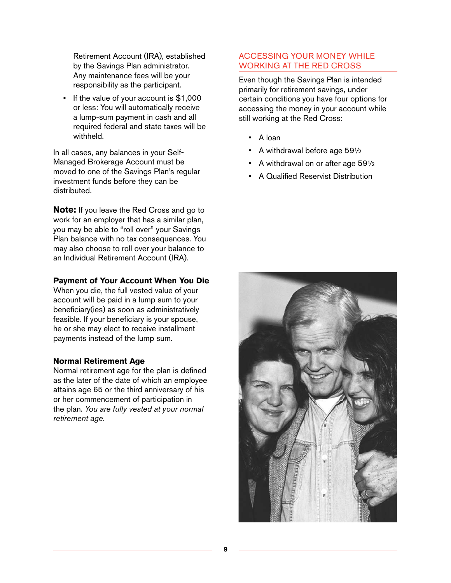Retirement Account (IRA), established by the Savings Plan administrator. Any maintenance fees will be your responsibility as the participant.

• If the value of your account is \$1,000 or less: You will automatically receive a lump-sum payment in cash and all required federal and state taxes will be withheld.

In all cases, any balances in your Self-Managed Brokerage Account must be moved to one of the Savings Plan's regular investment funds before they can be distributed.

**Note:** If you leave the Red Cross and go to work for an employer that has a similar plan, you may be able to "roll over" your Savings Plan balance with no tax consequences. You may also choose to roll over your balance to an Individual Retirement Account (IRA).

#### **Payment of Your Account When You Die**

When you die, the full vested value of your account will be paid in a lump sum to your beneficiary(ies) as soon as administratively feasible. If your beneficiary is your spouse, he or she may elect to receive installment payments instead of the lump sum.

#### **Normal Retirement Age**

Normal retirement age for the plan is defined as the later of the date of which an employee attains age 65 or the third anniversary of his or her commencement of participation in the plan. *You are fully vested at your normal retirement age.*

# Accessing Your Money While Working at the Red Cross

Even though the Savings Plan is intended primarily for retirement savings, under certain conditions you have four options for accessing the money in your account while still working at the Red Cross:

- A loan
- A withdrawal before age 59½
- A withdrawal on or after age 59½
- A Qualified Reservist Distribution

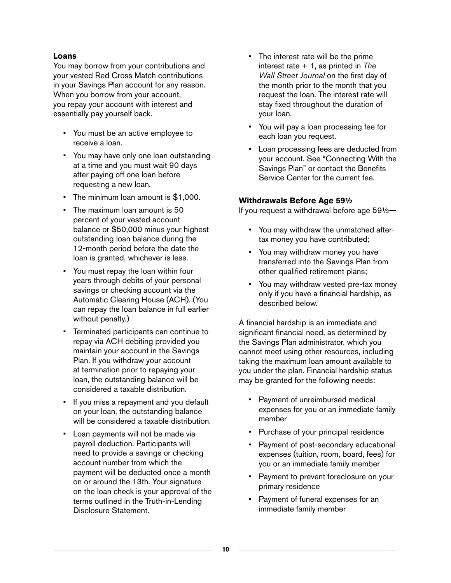# **Loans**

You may borrow from your contributions and your vested Red Cross Match contributions in your Savings Plan account for any reason. When you borrow from your account, you repay your account with interest and essentially pay yourself back.

- You must be an active employee to receive a loan.
- You may have only one loan outstanding at a time and you must wait 90 days after paying off one loan before requesting a new loan.
- The minimum loan amount is \$1,000.
- The maximum loan amount is 50 percent of your vested account balance or \$50,000 minus your highest outstanding loan balance during the 12-month period before the date the loan is granted, whichever is less.
- You must repay the loan within four years through debits of your personal savings or checking account via the Automatic Clearing House (ACH). (You can repay the loan balance in full earlier without penalty.)
- Terminated participants can continue to repay via ACH debiting provided you maintain your account in the Savings Plan. If you withdraw your account at termination prior to repaying your loan, the outstanding balance will be considered a taxable distribution.
- If you miss a repayment and you default on your loan, the outstanding balance will be considered a taxable distribution.
- Loan payments will not be made via payroll deduction. Participants will need to provide a savings or checking account number from which the payment will be deducted once a month on or around the 13th. Your signature on the loan check is your approval of the terms outlined in the Truth-in-Lending Disclosure Statement.
- The interest rate will be the prime interest rate + 1, as printed in *The Wall Street Journal* on the first day of the month prior to the month that you request the loan. The interest rate will stay fixed throughout the duration of your loan.
- You will pay a loan processing fee for each loan you request.
- Loan processing fees are deducted from your account. See "Connecting With the Savings Plan" or contact the Benefits Service Center for the current fee.

# **Withdrawals Before Age 59½**

If you request a withdrawal before age 59½—

- You may withdraw the unmatched aftertax money you have contributed;
- You may withdraw money you have transferred into the Savings Plan from other qualified retirement plans;
- You may withdraw vested pre-tax money only if you have a financial hardship, as described below.

A financial hardship is an immediate and significant financial need, as determined by the Savings Plan administrator, which you cannot meet using other resources, including taking the maximum loan amount available to you under the plan. Financial hardship status may be granted for the following needs:

- Payment of unreimbursed medical expenses for you or an immediate family member
- Purchase of your principal residence
- Payment of post-secondary educational expenses (tuition, room, board, fees) for you or an immediate family member
- Payment to prevent foreclosure on your primary residence
- Payment of funeral expenses for an immediate family member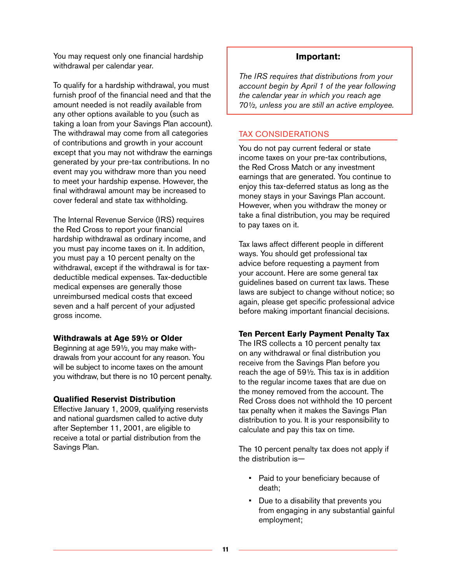You may request only one financial hardship withdrawal per calendar year.

To qualify for a hardship withdrawal, you must furnish proof of the financial need and that the amount needed is not readily available from any other options available to you (such as taking a loan from your Savings Plan account). The withdrawal may come from all categories of contributions and growth in your account except that you may not withdraw the earnings generated by your pre-tax contributions. In no event may you withdraw more than you need to meet your hardship expense. However, the final withdrawal amount may be increased to cover federal and state tax withholding.

The Internal Revenue Service (IRS) requires the Red Cross to report your financial hardship withdrawal as ordinary income, and you must pay income taxes on it. In addition, you must pay a 10 percent penalty on the withdrawal, except if the withdrawal is for taxdeductible medical expenses. Tax-deductible medical expenses are generally those unreimbursed medical costs that exceed seven and a half percent of your adjusted gross income.

#### **Withdrawals at Age 59½ or Older**

Beginning at age 59½, you may make withdrawals from your account for any reason. You will be subject to income taxes on the amount you withdraw, but there is no 10 percent penalty.

# **Qualified Reservist Distribution**

Effective January 1, 2009, qualifying reservists and national guardsmen called to active duty after September 11, 2001, are eligible to receive a total or partial distribution from the Savings Plan.

# **Important:**

*The IRS requires that distributions from your account begin by April 1 of the year following the calendar year in which you reach age 70½, unless you are still an active employee.* 

# Tax Considerations

You do not pay current federal or state income taxes on your pre-tax contributions, the Red Cross Match or any investment earnings that are generated. You continue to enjoy this tax-deferred status as long as the money stays in your Savings Plan account. However, when you withdraw the money or take a final distribution, you may be required to pay taxes on it.

Tax laws affect different people in different ways. You should get professional tax advice before requesting a payment from your account. Here are some general tax guidelines based on current tax laws. These laws are subject to change without notice; so again, please get specific professional advice before making important financial decisions.

# **Ten Percent Early Payment Penalty Tax**

The IRS collects a 10 percent penalty tax on any withdrawal or final distribution you receive from the Savings Plan before you reach the age of 59½. This tax is in addition to the regular income taxes that are due on the money removed from the account. The Red Cross does not withhold the 10 percent tax penalty when it makes the Savings Plan distribution to you. It is your responsibility to calculate and pay this tax on time.

The 10 percent penalty tax does not apply if the distribution is—

- Paid to your beneficiary because of death;
- Due to a disability that prevents you from engaging in any substantial gainful employment;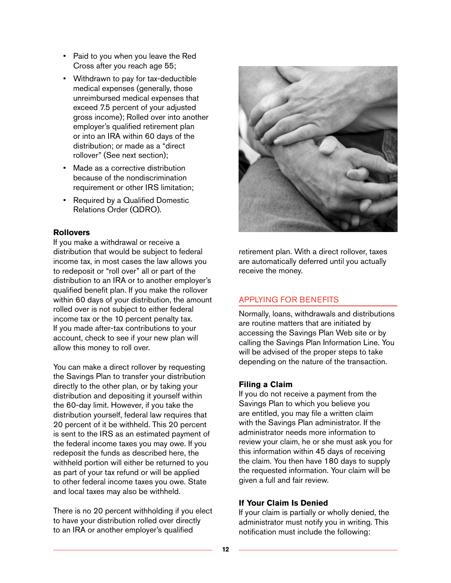- Paid to you when you leave the Red Cross after you reach age 55;
- Withdrawn to pay for tax-deductible medical expenses (generally, those unreimbursed medical expenses that exceed 7.5 percent of your adjusted gross income); Rolled over into another employer's qualified retirement plan or into an IRA within 60 days of the distribution; or made as a "direct rollover" (See next section);
- Made as a corrective distribution because of the nondiscrimination requirement or other IRS limitation;
- Required by a Qualified Domestic Relations Order (QDRO).

# **Rollovers**

If you make a withdrawal or receive a distribution that would be subject to federal income tax, in most cases the law allows you to redeposit or "roll over" all or part of the distribution to an IRA or to another employer's qualified benefit plan. If you make the rollover within 60 days of your distribution, the amount rolled over is not subject to either federal income tax or the 10 percent penalty tax. If you made after-tax contributions to your account, check to see if your new plan will allow this money to roll over.

You can make a direct rollover by requesting the Savings Plan to transfer your distribution directly to the other plan, or by taking your distribution and depositing it yourself within the 60-day limit. However, if you take the distribution yourself, federal law requires that 20 percent of it be withheld. This 20 percent is sent to the IRS as an estimated payment of the federal income taxes you may owe. If you redeposit the funds as described here, the withheld portion will either be returned to you as part of your tax refund or will be applied to other federal income taxes you owe. State and local taxes may also be withheld.

There is no 20 percent withholding if you elect to have your distribution rolled over directly to an IRA or another employer's qualified



retirement plan. With a direct rollover, taxes are automatically deferred until you actually receive the money.

# Applying for Benefits

Normally, loans, withdrawals and distributions are routine matters that are initiated by accessing the Savings Plan Web site or by calling the Savings Plan Information Line. You will be advised of the proper steps to take depending on the nature of the transaction.

# **Filing a Claim**

If you do not receive a payment from the Savings Plan to which you believe you are entitled, you may file a written claim with the Savings Plan administrator. If the administrator needs more information to review your claim, he or she must ask you for this information within 45 days of receiving the claim. You then have 180 days to supply the requested information. Your claim will be given a full and fair review.

# **If Your Claim Is Denied**

If your claim is partially or wholly denied, the administrator must notify you in writing. This notification must include the following: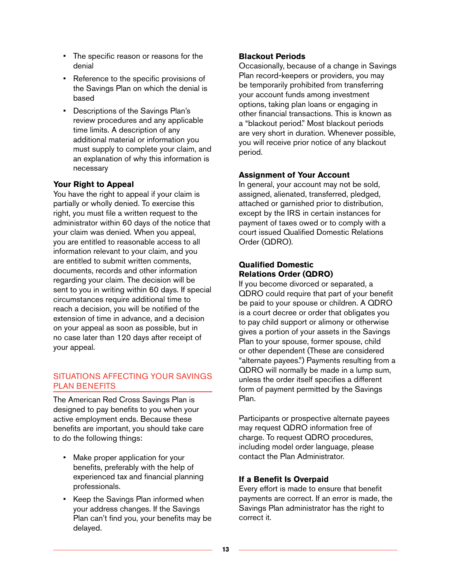- The specific reason or reasons for the denial
- Reference to the specific provisions of the Savings Plan on which the denial is based
- Descriptions of the Savings Plan's review procedures and any applicable time limits. A description of any additional material or information you must supply to complete your claim, and an explanation of why this information is necessary

# **Your Right to Appeal**

You have the right to appeal if your claim is partially or wholly denied. To exercise this right, you must file a written request to the administrator within 60 days of the notice that your claim was denied. When you appeal, you are entitled to reasonable access to all information relevant to your claim, and you are entitled to submit written comments, documents, records and other information regarding your claim. The decision will be sent to you in writing within 60 days. If special circumstances require additional time to reach a decision, you will be notified of the extension of time in advance, and a decision on your appeal as soon as possible, but in no case later than 120 days after receipt of your appeal.

# Situations Affecting Your Savings Plan Benefits

The American Red Cross Savings Plan is designed to pay benefits to you when your active employment ends. Because these benefits are important, you should take care to do the following things:

- Make proper application for your benefits, preferably with the help of experienced tax and financial planning professionals.
- Keep the Savings Plan informed when your address changes. If the Savings Plan can't find you, your benefits may be delayed.

# **Blackout Periods**

Occasionally, because of a change in Savings Plan record-keepers or providers, you may be temporarily prohibited from transferring your account funds among investment options, taking plan loans or engaging in other financial transactions. This is known as a "blackout period." Most blackout periods are very short in duration. Whenever possible, you will receive prior notice of any blackout period.

# **Assignment of Your Account**

In general, your account may not be sold, assigned, alienated, transferred, pledged, attached or garnished prior to distribution, except by the IRS in certain instances for payment of taxes owed or to comply with a court issued Qualified Domestic Relations Order (QDRO).

# **Qualified Domestic Relations Order (QDRO)**

If you become divorced or separated, a QDRO could require that part of your benefit be paid to your spouse or children. A QDRO is a court decree or order that obligates you to pay child support or alimony or otherwise gives a portion of your assets in the Savings Plan to your spouse, former spouse, child or other dependent (These are considered "alternate payees.") Payments resulting from a QDRO will normally be made in a lump sum, unless the order itself specifies a different form of payment permitted by the Savings Plan.

Participants or prospective alternate payees may request QDRO information free of charge. To request QDRO procedures, including model order language, please contact the Plan Administrator.

# **If a Benefit Is Overpaid**

Every effort is made to ensure that benefit payments are correct. If an error is made, the Savings Plan administrator has the right to correct it.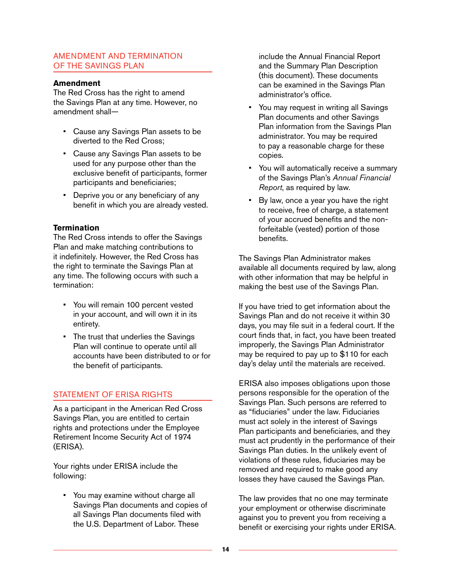# Amendment and Termination of the Savings Plan

#### **Amendment**

The Red Cross has the right to amend the Savings Plan at any time. However, no amendment shall—

- Cause any Savings Plan assets to be diverted to the Red Cross;
- Cause any Savings Plan assets to be used for any purpose other than the exclusive benefit of participants, former participants and beneficiaries;
- Deprive you or any beneficiary of any benefit in which you are already vested.

# **Termination**

The Red Cross intends to offer the Savings Plan and make matching contributions to it indefinitely. However, the Red Cross has the right to terminate the Savings Plan at any time. The following occurs with such a termination:

- You will remain 100 percent vested in your account, and will own it in its entirety.
- The trust that underlies the Savings Plan will continue to operate until all accounts have been distributed to or for the benefit of participants.

# STATEMENT OF ERISA RIGHTS

As a participant in the American Red Cross Savings Plan, you are entitled to certain rights and protections under the Employee Retirement Income Security Act of 1974 (ERISA).

Your rights under ERISA include the following:

• You may examine without charge all Savings Plan documents and copies of all Savings Plan documents filed with the U.S. Department of Labor. These

include the Annual Financial Report and the Summary Plan Description (this document). These documents can be examined in the Savings Plan administrator's office.

- You may request in writing all Savings Plan documents and other Savings Plan information from the Savings Plan administrator. You may be required to pay a reasonable charge for these copies.
- You will automatically receive a summary of the Savings Plan's *Annual Financial Report*, as required by law.
- By law, once a year you have the right to receive, free of charge, a statement of your accrued benefits and the nonforfeitable (vested) portion of those benefits.

The Savings Plan Administrator makes available all documents required by law, along with other information that may be helpful in making the best use of the Savings Plan.

If you have tried to get information about the Savings Plan and do not receive it within 30 days, you may file suit in a federal court. If the court finds that, in fact, you have been treated improperly, the Savings Plan Administrator may be required to pay up to \$110 for each day's delay until the materials are received.

ERISA also imposes obligations upon those persons responsible for the operation of the Savings Plan. Such persons are referred to as "fiduciaries" under the law. Fiduciaries must act solely in the interest of Savings Plan participants and beneficiaries, and they must act prudently in the performance of their Savings Plan duties. In the unlikely event of violations of these rules, fiduciaries may be removed and required to make good any losses they have caused the Savings Plan.

The law provides that no one may terminate your employment or otherwise discriminate against you to prevent you from receiving a benefit or exercising your rights under ERISA.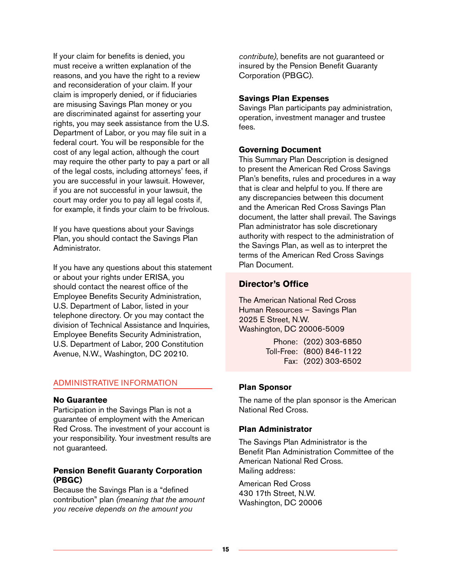If your claim for benefits is denied, you must receive a written explanation of the reasons, and you have the right to a review and reconsideration of your claim. If your claim is improperly denied, or if fiduciaries are misusing Savings Plan money or you are discriminated against for asserting your rights, you may seek assistance from the U.S. Department of Labor, or you may file suit in a federal court. You will be responsible for the cost of any legal action, although the court may require the other party to pay a part or all of the legal costs, including attorneys' fees, if you are successful in your lawsuit. However, if you are not successful in your lawsuit, the court may order you to pay all legal costs if, for example, it finds your claim to be frivolous.

If you have questions about your Savings Plan, you should contact the Savings Plan Administrator.

If you have any questions about this statement or about your rights under ERISA, you should contact the nearest office of the Employee Benefits Security Administration, U.S. Department of Labor, listed in your telephone directory. Or you may contact the division of Technical Assistance and Inquiries, Employee Benefits Security Administration, U.S. Department of Labor, 200 Constitution Avenue, N.W., Washington, DC 20210.

#### Administrative Information

#### **No Guarantee**

Participation in the Savings Plan is not a guarantee of employment with the American Red Cross. The investment of your account is your responsibility. Your investment results are not guaranteed.

#### **Pension Benefit Guaranty Corporation (PBGC)**

Because the Savings Plan is a "defined contribution" plan *(meaning that the amount you receive depends on the amount you* 

*contribute)*, benefits are not guaranteed or insured by the Pension Benefit Guaranty Corporation (PBGC).

#### **Savings Plan Expenses**

Savings Plan participants pay administration, operation, investment manager and trustee fees.

#### **Governing Document**

This Summary Plan Description is designed to present the American Red Cross Savings Plan's benefits, rules and procedures in a way that is clear and helpful to you. If there are any discrepancies between this document and the American Red Cross Savings Plan document, the latter shall prevail. The Savings Plan administrator has sole discretionary authority with respect to the administration of the Savings Plan, as well as to interpret the terms of the American Red Cross Savings Plan Document.

# **Director's Office**

The American National Red Cross Human Resources – Savings Plan 2025 E Street, N.W. Washington, DC 20006-5009

> Phone: (202) 303-6850 Toll-Free: (800) 846-1122 Fax: (202) 303-6502

# **Plan Sponsor**

The name of the plan sponsor is the American National Red Cross.

#### **Plan Administrator**

The Savings Plan Administrator is the Benefit Plan Administration Committee of the American National Red Cross. Mailing address:

American Red Cross 430 17th Street, N.W. Washington, DC 20006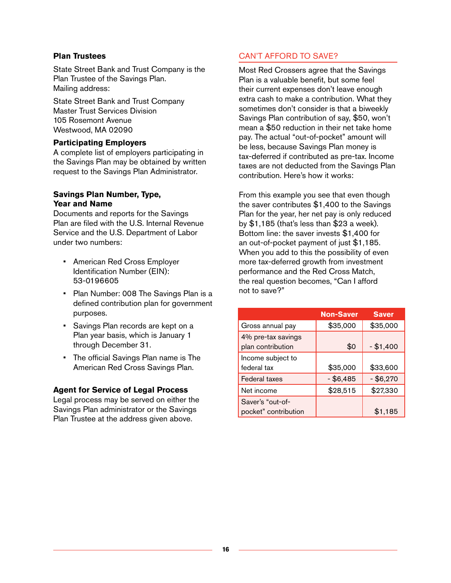# **Plan Trustees**

State Street Bank and Trust Company is the Plan Trustee of the Savings Plan. Mailing address:

State Street Bank and Trust Company Master Trust Services Division 105 Rosemont Avenue Westwood, MA 02090

# **Participating Employers**

A complete list of employers participating in the Savings Plan may be obtained by written request to the Savings Plan Administrator.

# **Savings Plan Number, Type, Year and Name**

Documents and reports for the Savings Plan are filed with the U.S. Internal Revenue Service and the U.S. Department of Labor under two numbers:

- American Red Cross Employer Identification Number (EIN): 53-0196605
- Plan Number: 008 The Savings Plan is a defined contribution plan for government purposes.
- Savings Plan records are kept on a Plan year basis, which is January 1 through December 31.
- The official Savings Plan name is The American Red Cross Savings Plan.

# **Agent for Service of Legal Process**

Legal process may be served on either the Savings Plan administrator or the Savings Plan Trustee at the address given above.

# Can't Afford to Save?

Most Red Crossers agree that the Savings Plan is a valuable benefit, but some feel their current expenses don't leave enough extra cash to make a contribution. What they sometimes don't consider is that a biweekly Savings Plan contribution of say, \$50, won't mean a \$50 reduction in their net take home pay. The actual "out-of-pocket" amount will be less, because Savings Plan money is tax-deferred if contributed as pre-tax. Income taxes are not deducted from the Savings Plan contribution. Here's how it works:

From this example you see that even though the saver contributes \$1,400 to the Savings Plan for the year, her net pay is only reduced by \$1,185 (that's less than \$23 a week). Bottom line: the saver invests \$1,400 for an out-of-pocket payment of just \$1,185. When you add to this the possibility of even more tax-deferred growth from investment performance and the Red Cross Match, the real question becomes, "Can I afford not to save?"

|                                         | <b>Non-Saver</b> | <b>Saver</b> |
|-----------------------------------------|------------------|--------------|
| Gross annual pay                        | \$35,000         | \$35,000     |
| 4% pre-tax savings<br>plan contribution | \$0              | $- $1,400$   |
| Income subject to                       |                  |              |
| federal tax                             | \$35,000         | \$33,600     |
| <b>Federal taxes</b>                    | $-$ \$6,485      | $-$ \$6,270  |
| Net income                              | \$28,515         | \$27,330     |
| Saver's "out-of-                        |                  |              |
| pocket" contribution                    |                  | \$1,185      |